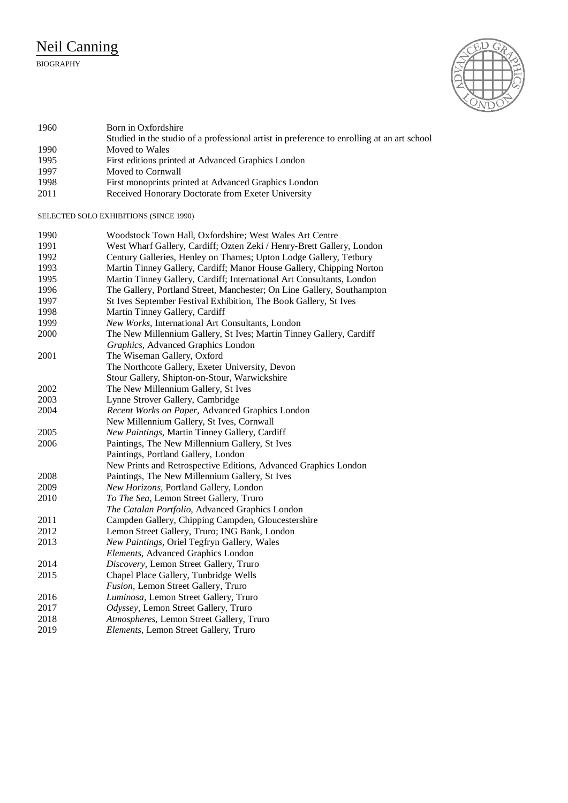## Neil Canning

## BIOGRAPHY



| 1960 | Born in Oxfordshire                                                                        |
|------|--------------------------------------------------------------------------------------------|
|      | Studied in the studio of a professional artist in preference to enrolling at an art school |
| 1990 | Moved to Wales                                                                             |
| 1995 | First editions printed at Advanced Graphics London                                         |
| 1997 | Moved to Cornwall                                                                          |
| 1998 | First monoprints printed at Advanced Graphics London                                       |
| 2011 | Received Honorary Doctorate from Exeter University                                         |

SELECTED SOLO EXHIBITIONS (SINCE 1990)

| 1990 | Woodstock Town Hall, Oxfordshire; West Wales Art Centre                |
|------|------------------------------------------------------------------------|
| 1991 | West Wharf Gallery, Cardiff; Ozten Zeki / Henry-Brett Gallery, London  |
| 1992 | Century Galleries, Henley on Thames; Upton Lodge Gallery, Tetbury      |
| 1993 | Martin Tinney Gallery, Cardiff; Manor House Gallery, Chipping Norton   |
| 1995 | Martin Tinney Gallery, Cardiff; International Art Consultants, London  |
| 1996 | The Gallery, Portland Street, Manchester; On Line Gallery, Southampton |
| 1997 | St Ives September Festival Exhibition, The Book Gallery, St Ives       |
| 1998 | Martin Tinney Gallery, Cardiff                                         |
| 1999 | New Works, International Art Consultants, London                       |
| 2000 | The New Millennium Gallery, St Ives; Martin Tinney Gallery, Cardiff    |
|      | Graphics, Advanced Graphics London                                     |
| 2001 | The Wiseman Gallery, Oxford                                            |
|      | The Northcote Gallery, Exeter University, Devon                        |
|      | Stour Gallery, Shipton-on-Stour, Warwickshire                          |
| 2002 | The New Millennium Gallery, St Ives                                    |
| 2003 | Lynne Strover Gallery, Cambridge                                       |
| 2004 | Recent Works on Paper, Advanced Graphics London                        |
|      | New Millennium Gallery, St Ives, Cornwall                              |
| 2005 | New Paintings, Martin Tinney Gallery, Cardiff                          |
| 2006 | Paintings, The New Millennium Gallery, St Ives                         |
|      | Paintings, Portland Gallery, London                                    |
|      | New Prints and Retrospective Editions, Advanced Graphics London        |
| 2008 | Paintings, The New Millennium Gallery, St Ives                         |
| 2009 | New Horizons, Portland Gallery, London                                 |
| 2010 | To The Sea, Lemon Street Gallery, Truro                                |
|      | The Catalan Portfolio, Advanced Graphics London                        |
| 2011 | Campden Gallery, Chipping Campden, Gloucestershire                     |
| 2012 | Lemon Street Gallery, Truro; ING Bank, London                          |
| 2013 | New Paintings, Oriel Tegfryn Gallery, Wales                            |
|      | Elements, Advanced Graphics London                                     |
| 2014 | Discovery, Lemon Street Gallery, Truro                                 |
| 2015 | Chapel Place Gallery, Tunbridge Wells                                  |
|      | Fusion, Lemon Street Gallery, Truro                                    |
| 2016 | Luminosa, Lemon Street Gallery, Truro                                  |
| 2017 | Odyssey, Lemon Street Gallery, Truro                                   |
| 2018 | Atmospheres, Lemon Street Gallery, Truro                               |
| 2019 | Elements, Lemon Street Gallery, Truro                                  |
|      |                                                                        |